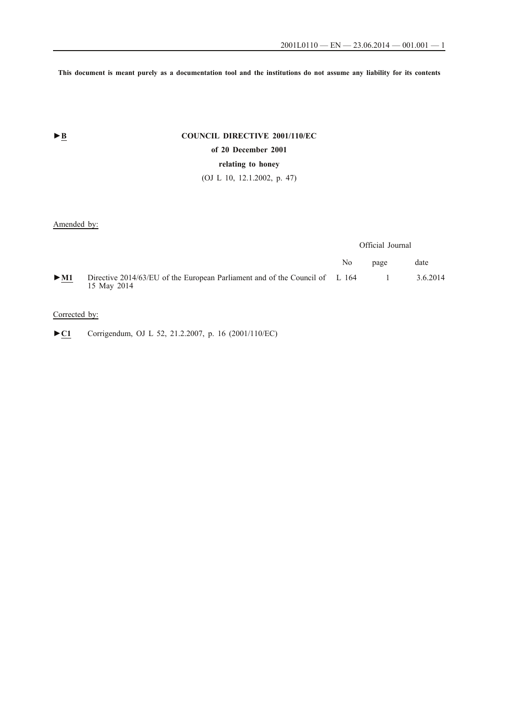**This document is meant purely as a documentation tool and the institutions do not assume any liability for its contents**

# **►B COUNCIL DIRECTIVE 2001/110/EC of 20 December 2001 relating to honey** (OJ L 10, 12.1.2002, p. 47)

# Amended by:

|        |                                                                                            | Official Journal |      |          |
|--------|--------------------------------------------------------------------------------------------|------------------|------|----------|
|        |                                                                                            | No.              | page | date     |
| $>$ M1 | Directive 2014/63/EU of the European Parliament and of the Council of L 164<br>15 May 2014 |                  |      | 3.6.2014 |

## Corrected by:

►**C1** Corrigendum, OJ L 52, 21.2.2007, p. 16 (2001/110/EC)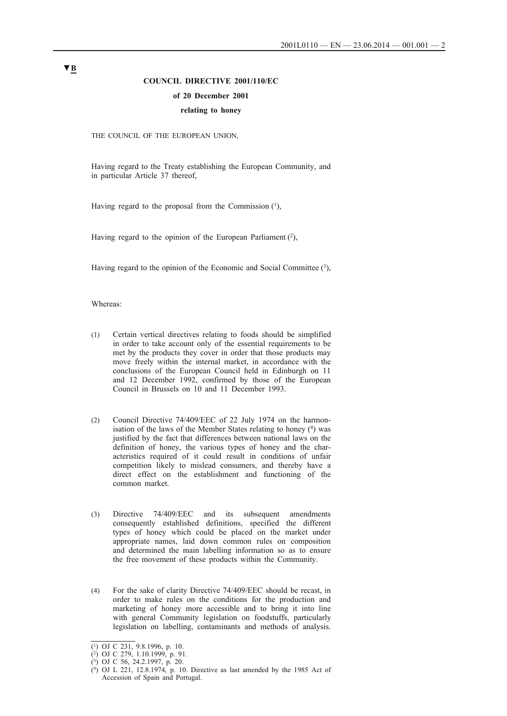# **COUNCIL DIRECTIVE 2001/110/EC of 20 December 2001 relating to honey**

THE COUNCIL OF THE EUROPEAN UNION,

Having regard to the Treaty establishing the European Community, and in particular Article 37 thereof,

Having regard to the proposal from the Commission  $(1)$ ,

Having regard to the opinion of the European Parliament  $(2)$ ,

Having regard to the opinion of the Economic and Social Committee (3),

Whereas:

- (1) Certain vertical directives relating to foods should be simplified in order to take account only of the essential requirements to be met by the products they cover in order that those products may move freely within the internal market, in accordance with the conclusions of the European Council held in Edinburgh on 11 and 12 December 1992, confirmed by those of the European Council in Brussels on 10 and 11 December 1993.
- (2) Council Directive 74/409/EEC of 22 July 1974 on the harmonisation of the laws of the Member States relating to honey (4) was justified by the fact that differences between national laws on the definition of honey, the various types of honey and the characteristics required of it could result in conditions of unfair competition likely to mislead consumers, and thereby have a direct effect on the establishment and functioning of the common market.
- (3) Directive 74/409/EEC and its subsequent amendments consequently established definitions, specified the different types of honey which could be placed on the market under appropriate names, laid down common rules on composition and determined the main labelling information so as to ensure the free movement of these products within the Community.
- (4) For the sake of clarity Directive 74/409/EEC should be recast, in order to make rules on the conditions for the production and marketing of honey more accessible and to bring it into line with general Community legislation on foodstuffs, particularly legislation on labelling, contaminants and methods of analysis.

<sup>(1)</sup> OJ C 231, 9.8.1996, p. 10.

<sup>(2)</sup> OJ C 279, 1.10.1999, p. 91.

<sup>(3)</sup> OJ C 56, 24.2.1997, p. 20.

 $(4)$  OJ L 221, 12.8.1974, p. 10. Directive as last amended by the 1985 Act of Accession of Spain and Portugal.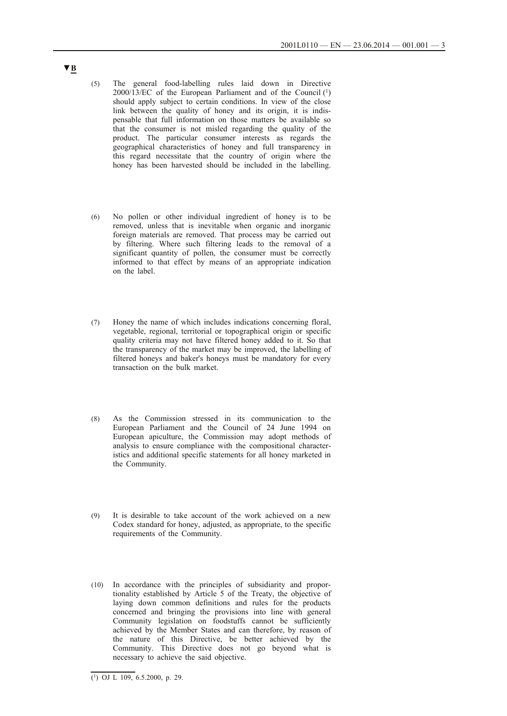- (5) The general food-labelling rules laid down in Directive  $2000/13/EC$  of the European Parliament and of the Council  $(1)$ should apply subject to certain conditions. In view of the close link between the quality of honey and its origin, it is indispensable that full information on those matters be available so that the consumer is not misled regarding the quality of the product. The particular consumer interests as regards the geographical characteristics of honey and full transparency in this regard necessitate that the country of origin where the honey has been harvested should be included in the labelling.
- (6) No pollen or other individual ingredient of honey is to be removed, unless that is inevitable when organic and inorganic foreign materials are removed. That process may be carried out by filtering. Where such filtering leads to the removal of a significant quantity of pollen, the consumer must be correctly informed to that effect by means of an appropriate indication on the label.
- (7) Honey the name of which includes indications concerning floral, vegetable, regional, territorial or topographical origin or specific quality criteria may not have filtered honey added to it. So that the transparency of the market may be improved, the labelling of filtered honeys and baker's honeys must be mandatory for every transaction on the bulk market.
- (8) As the Commission stressed in its communication to the European Parliament and the Council of 24 June 1994 on European apiculture, the Commission may adopt methods of analysis to ensure compliance with the compositional characteristics and additional specific statements for all honey marketed in the Community.
- (9) It is desirable to take account of the work achieved on a new Codex standard for honey, adjusted, as appropriate, to the specific requirements of the Community.
- (10) In accordance with the principles of subsidiarity and proportionality established by Article 5 of the Treaty, the objective of laying down common definitions and rules for the products concerned and bringing the provisions into line with general Community legislation on foodstuffs cannot be sufficiently achieved by the Member States and can therefore, by reason of the nature of this Directive, be better achieved by the Community. This Directive does not go beyond what is necessary to achieve the said objective.

**<sup>▼</sup>B**

 $\overline{(\text{1})}$  OJ L 109, 6.5.2000, p. 29.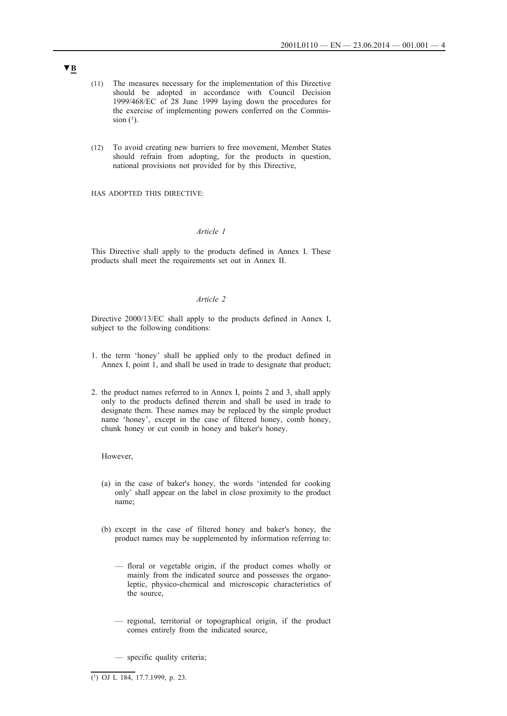- (11) The measures necessary for the implementation of this Directive should be adopted in accordance with Council Decision 1999/468/EC of 28 June 1999 laying down the procedures for the exercise of implementing powers conferred on the Commission  $(1)$ .
- (12) To avoid creating new barriers to free movement, Member States should refrain from adopting, for the products in question, national provisions not provided for by this Directive,

HAS ADOPTED THIS DIRECTIVE:

#### *Article 1*

This Directive shall apply to the products defined in Annex I. These products shall meet the requirements set out in Annex II.

#### *Article 2*

Directive 2000/13/EC shall apply to the products defined in Annex I, subject to the following conditions:

- 1. the term 'honey' shall be applied only to the product defined in Annex I, point 1, and shall be used in trade to designate that product;
- 2. the product names referred to in Annex I, points 2 and 3, shall apply only to the products defined therein and shall be used in trade to designate them. These names may be replaced by the simple product name 'honey', except in the case of filtered honey, comb honey, chunk honey or cut comb in honey and baker's honey.

However,

- (a) in the case of baker's honey, the words 'intended for cooking only' shall appear on the label in close proximity to the product name;
- (b) except in the case of filtered honey and baker's honey, the product names may be supplemented by information referring to:
	- floral or vegetable origin, if the product comes wholly or mainly from the indicated source and possesses the organoleptic, physico-chemical and microscopic characteristics of the source,
	- regional, territorial or topographical origin, if the product comes entirely from the indicated source,
	- specific quality criteria;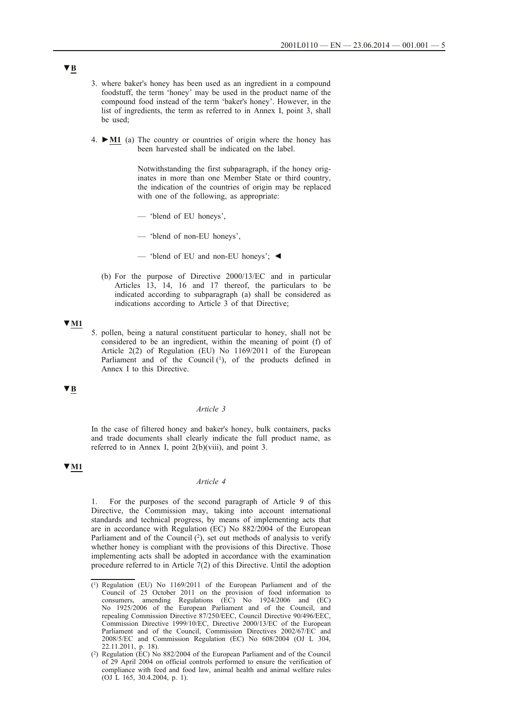- 3. where baker's honey has been used as an ingredient in a compound foodstuff, the term 'honey' may be used in the product name of the compound food instead of the term 'baker's honey'. However, in the list of ingredients, the term as referred to in Annex I, point 3, shall be used;
- 4. **►M1** (a) The country or countries of origin where the honey has been harvested shall be indicated on the label.

Notwithstanding the first subparagraph, if the honey originates in more than one Member State or third country, the indication of the countries of origin may be replaced with one of the following, as appropriate:

- 'blend of EU honeys',
- 'blend of non-EU honeys',
- 'blend of EU and non-EU honeys'; ◄
- (b) For the purpose of Directive 2000/13/EC and in particular Articles 13, 14, 16 and 17 thereof, the particulars to be indicated according to subparagraph (a) shall be considered as indications according to Article 3 of that Directive;

#### **▼M1**

5. pollen, being a natural constituent particular to honey, shall not be considered to be an ingredient, within the meaning of point (f) of Article 2(2) of Regulation (EU) No 1169/2011 of the European Parliament and of the Council  $(1)$ , of the products defined in Annex I to this Directive.

### **▼B**

### *Article 3*

In the case of filtered honey and baker's honey, bulk containers, packs and trade documents shall clearly indicate the full product name, as referred to in Annex I, point 2(b)(viii), and point 3.

### **▼M1**

### *Article 4*

1. For the purposes of the second paragraph of Article 9 of this Directive, the Commission may, taking into account international standards and technical progress, by means of implementing acts that are in accordance with Regulation (EC) No 882/2004 of the European Parliament and of the Council (2), set out methods of analysis to verify whether honey is compliant with the provisions of this Directive. Those implementing acts shall be adopted in accordance with the examination procedure referred to in Article 7(2) of this Directive. Until the adoption

 $\overline{(\text{1})}$  Regulation (EU) No 1169/2011 of the European Parliament and of the Council of 25 October 2011 on the provision of food information to consumers, amending Regulations (EC) No 1924/2006 and (EC) No 1925/2006 of the European Parliament and of the Council, and repealing Commission Directive 87/250/EEC, Council Directive 90/496/EEC, Commission Directive 1999/10/EC, Directive 2000/13/EC of the European Parliament and of the Council, Commission Directives 2002/67/EC and 2008/5/EC and Commission Regulation (EC) No 608/2004 (OJ L 304, 22.11.2011, p. 18).

<sup>(2)</sup> Regulation (EC) No  $882/2004$  of the European Parliament and of the Council of 29 April 2004 on official controls performed to ensure the verification of compliance with feed and food law, animal health and animal welfare rules (OJ L 165, 30.4.2004, p. 1).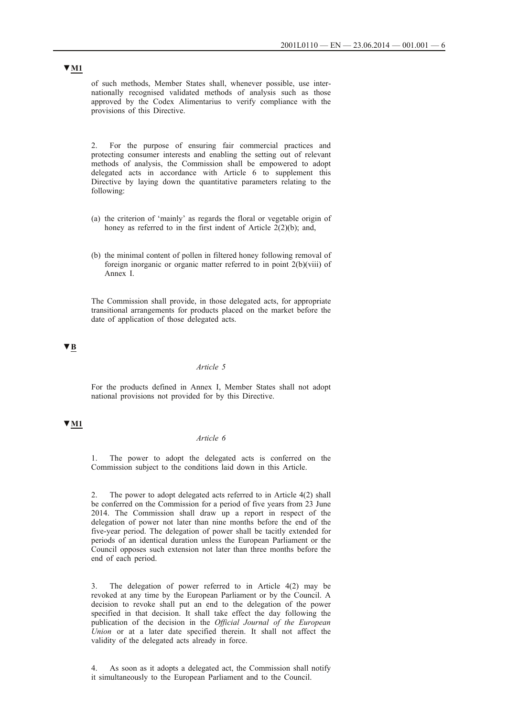of such methods, Member States shall, whenever possible, use internationally recognised validated methods of analysis such as those approved by the Codex Alimentarius to verify compliance with the provisions of this Directive.

2. For the purpose of ensuring fair commercial practices and protecting consumer interests and enabling the setting out of relevant methods of analysis, the Commission shall be empowered to adopt delegated acts in accordance with Article 6 to supplement this Directive by laying down the quantitative parameters relating to the following:

- (a) the criterion of 'mainly' as regards the floral or vegetable origin of honey as referred to in the first indent of Article  $2(2)(b)$ ; and,
- (b) the minimal content of pollen in filtered honey following removal of foreign inorganic or organic matter referred to in point 2(b)(viii) of Annex I.

The Commission shall provide, in those delegated acts, for appropriate transitional arrangements for products placed on the market before the date of application of those delegated acts.

**▼B**

### *Article 5*

For the products defined in Annex I, Member States shall not adopt national provisions not provided for by this Directive.

### **▼M1**

#### *Article 6*

1. The power to adopt the delegated acts is conferred on the Commission subject to the conditions laid down in this Article.

2. The power to adopt delegated acts referred to in Article 4(2) shall be conferred on the Commission for a period of five years from 23 June 2014. The Commission shall draw up a report in respect of the delegation of power not later than nine months before the end of the five-year period. The delegation of power shall be tacitly extended for periods of an identical duration unless the European Parliament or the Council opposes such extension not later than three months before the end of each period.

3. The delegation of power referred to in Article 4(2) may be revoked at any time by the European Parliament or by the Council. A decision to revoke shall put an end to the delegation of the power specified in that decision. It shall take effect the day following the publication of the decision in the *Official Journal of the European Union* or at a later date specified therein. It shall not affect the validity of the delegated acts already in force.

4. As soon as it adopts a delegated act, the Commission shall notify it simultaneously to the European Parliament and to the Council.

# **▼M1**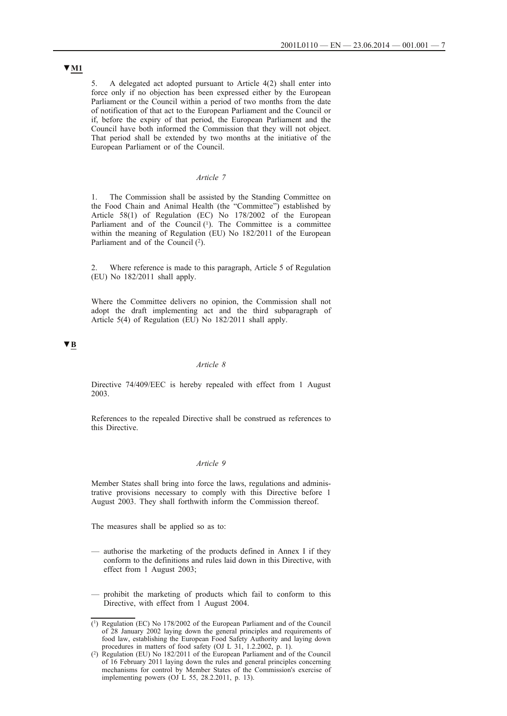5. A delegated act adopted pursuant to Article 4(2) shall enter into force only if no objection has been expressed either by the European Parliament or the Council within a period of two months from the date of notification of that act to the European Parliament and the Council or if, before the expiry of that period, the European Parliament and the Council have both informed the Commission that they will not object. That period shall be extended by two months at the initiative of the European Parliament or of the Council.

### *Article 7*

1. The Commission shall be assisted by the Standing Committee on the Food Chain and Animal Health (the "Committee") established by Article 58(1) of Regulation (EC) No 178/2002 of the European Parliament and of the Council  $(1)$ . The Committee is a committee within the meaning of Regulation (EU) No 182/2011 of the European Parliament and of the Council  $(2)$ .

2. Where reference is made to this paragraph, Article 5 of Regulation (EU) No 182/2011 shall apply.

Where the Committee delivers no opinion, the Commission shall not adopt the draft implementing act and the third subparagraph of Article 5(4) of Regulation (EU) No 182/2011 shall apply.

### **▼B**

#### *Article 8*

Directive 74/409/EEC is hereby repealed with effect from 1 August 2003.

References to the repealed Directive shall be construed as references to this Directive.

### *Article 9*

Member States shall bring into force the laws, regulations and administrative provisions necessary to comply with this Directive before 1 August 2003. They shall forthwith inform the Commission thereof.

The measures shall be applied so as to:

- authorise the marketing of the products defined in Annex I if they conform to the definitions and rules laid down in this Directive, with effect from 1 August 2003;
- prohibit the marketing of products which fail to conform to this Directive, with effect from 1 August 2004.

# **▼M1**

 $(1)$  Regulation (EC) No 178/2002 of the European Parliament and of the Council of 28 January 2002 laying down the general principles and requirements of food law, establishing the European Food Safety Authority and laying down procedures in matters of food safety (OJ L 31, 1.2.2002, p. 1).

<sup>(2)</sup> Regulation (EU) No 182/2011 of the European Parliament and of the Council of 16 February 2011 laying down the rules and general principles concerning mechanisms for control by Member States of the Commission's exercise of implementing powers (OJ L 55, 28.2.2011, p. 13).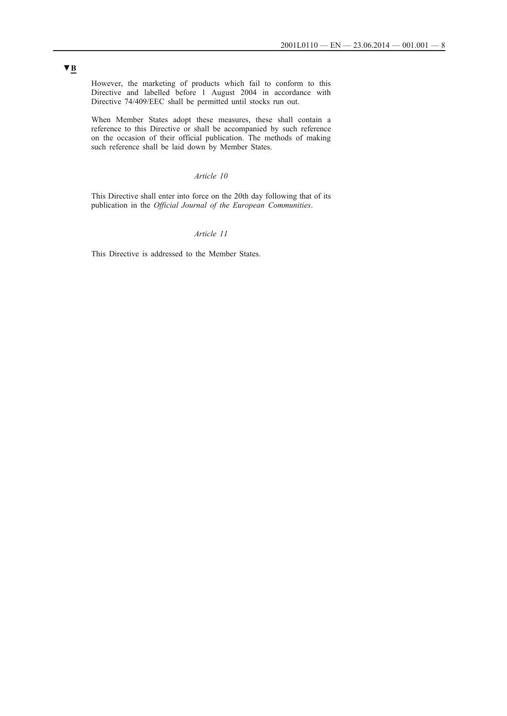However, the marketing of products which fail to conform to this Directive and labelled before 1 August 2004 in accordance with Directive 74/409/EEC shall be permitted until stocks run out.

When Member States adopt these measures, these shall contain a reference to this Directive or shall be accompanied by such reference on the occasion of their official publication. The methods of making such reference shall be laid down by Member States.

### *Article 10*

This Directive shall enter into force on the 20th day following that of its publication in the *Official Journal of the European Communities*.

### *Article 11*

This Directive is addressed to the Member States.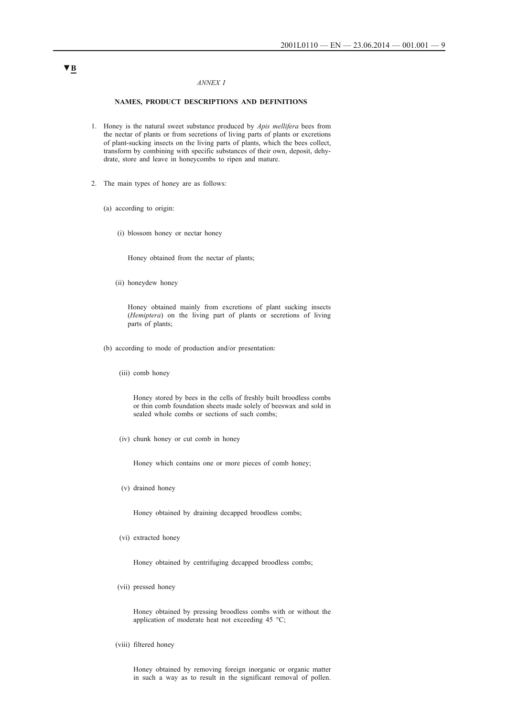#### *ANNEX I*

#### **NAMES, PRODUCT DESCRIPTIONS AND DEFINITIONS**

- 1. Honey is the natural sweet substance produced by *Apis mellifera* bees from the nectar of plants or from secretions of living parts of plants or excretions of plant-sucking insects on the living parts of plants, which the bees collect, transform by combining with specific substances of their own, deposit, dehydrate, store and leave in honeycombs to ripen and mature.
- 2. The main types of honey are as follows:
	- (a) according to origin:
		- (i) blossom honey or nectar honey

Honey obtained from the nectar of plants;

(ii) honeydew honey

Honey obtained mainly from excretions of plant sucking insects (*Hemiptera*) on the living part of plants or secretions of living parts of plants;

- (b) according to mode of production and/or presentation:
	- (iii) comb honey

Honey stored by bees in the cells of freshly built broodless combs or thin comb foundation sheets made solely of beeswax and sold in sealed whole combs or sections of such combs;

(iv) chunk honey or cut comb in honey

Honey which contains one or more pieces of comb honey;

(v) drained honey

Honey obtained by draining decapped broodless combs;

(vi) extracted honey

Honey obtained by centrifuging decapped broodless combs;

(vii) pressed honey

Honey obtained by pressing broodless combs with or without the application of moderate heat not exceeding 45 °C;

(viii) filtered honey

Honey obtained by removing foreign inorganic or organic matter in such a way as to result in the significant removal of pollen.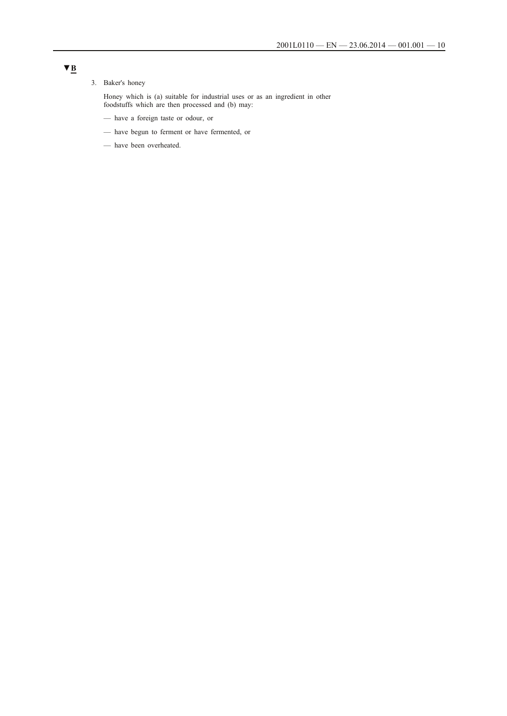### 3. Baker's honey

Honey which is (a) suitable for industrial uses or as an ingredient in other foodstuffs which are then processed and (b) may:

- have a foreign taste or odour, or
- have begun to ferment or have fermented, or
- have been overheated.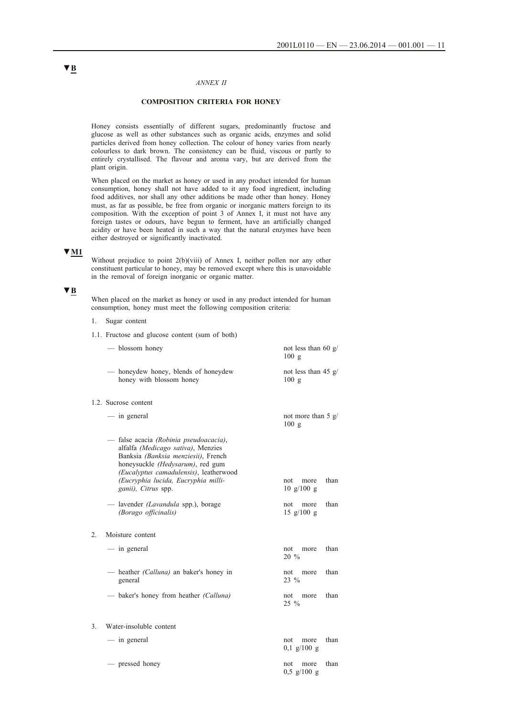#### *ANNEX II*

#### **COMPOSITION CRITERIA FOR HONEY**

Honey consists essentially of different sugars, predominantly fructose and glucose as well as other substances such as organic acids, enzymes and solid particles derived from honey collection. The colour of honey varies from nearly colourless to dark brown. The consistency can be fluid, viscous or partly to entirely crystallised. The flavour and aroma vary, but are derived from the plant origin.

When placed on the market as honey or used in any product intended for human consumption, honey shall not have added to it any food ingredient, including food additives, nor shall any other additions be made other than honey. Honey must, as far as possible, be free from organic or inorganic matters foreign to its composition. With the exception of point 3 of Annex I, it must not have any foreign tastes or odours, have begun to ferment, have an artificially changed acidity or have been heated in such a way that the natural enzymes have been either destroyed or significantly inactivated.

## **▼M1**

Without prejudice to point 2(b)(viii) of Annex I, neither pollen nor any other constituent particular to honey, may be removed except where this is unavoidable in the removal of foreign inorganic or organic matter.

#### **▼B**

When placed on the market as honey or used in any product intended for human consumption, honey must meet the following composition criteria:

- 1. Sugar content
- 1.1. Fructose and glucose content (sum of both)

|                  | — blossom honey                                                                                                                                                                                                                                                 | not less than 60 $g/$<br>100 g                    |      |  |  |  |  |  |
|------------------|-----------------------------------------------------------------------------------------------------------------------------------------------------------------------------------------------------------------------------------------------------------------|---------------------------------------------------|------|--|--|--|--|--|
|                  | — honeydew honey, blends of honeydew<br>honey with blossom honey                                                                                                                                                                                                | not less than 45 $g/$<br>100 g                    |      |  |  |  |  |  |
|                  | 1.2. Sucrose content                                                                                                                                                                                                                                            |                                                   |      |  |  |  |  |  |
|                  | — in general                                                                                                                                                                                                                                                    | not more than 5 $g/$<br>100 g                     |      |  |  |  |  |  |
|                  | — false acacia (Robinia pseudoacacia),<br>alfalfa (Medicago sativa), Menzies<br>Banksia (Banksia menziesii), French<br>honeysuckle (Hedysarum), red gum<br>(Eucalyptus camadulensis), leatherwood<br>(Eucryphia lucida, Eucryphia milli-<br>ganii), Citrus spp. | not<br>more<br>$10 \frac{g}{100}$ g               | than |  |  |  |  |  |
|                  | — lavender <i>(Lavandula spp.)</i> , borage<br>(Borago officinalis)                                                                                                                                                                                             | not<br>more<br>$15 \frac{\text{g}}{100} \text{g}$ | than |  |  |  |  |  |
| $\overline{2}$ . | Moisture content                                                                                                                                                                                                                                                |                                                   |      |  |  |  |  |  |
|                  | — in general                                                                                                                                                                                                                                                    | not<br>more<br>20 %                               | than |  |  |  |  |  |
|                  | — heather <i>(Calluna)</i> an baker's honey in<br>general                                                                                                                                                                                                       | not<br>more<br>23 %                               | than |  |  |  |  |  |
|                  | — baker's honey from heather <i>(Calluna)</i>                                                                                                                                                                                                                   | not<br>more<br>$25\%$                             | than |  |  |  |  |  |
| 3.               | Water-insoluble content                                                                                                                                                                                                                                         |                                                   |      |  |  |  |  |  |
|                  | — in general                                                                                                                                                                                                                                                    | not<br>more                                       | than |  |  |  |  |  |

# 0,1 g/100 g — pressed honey not more than 0,5 g/100 g